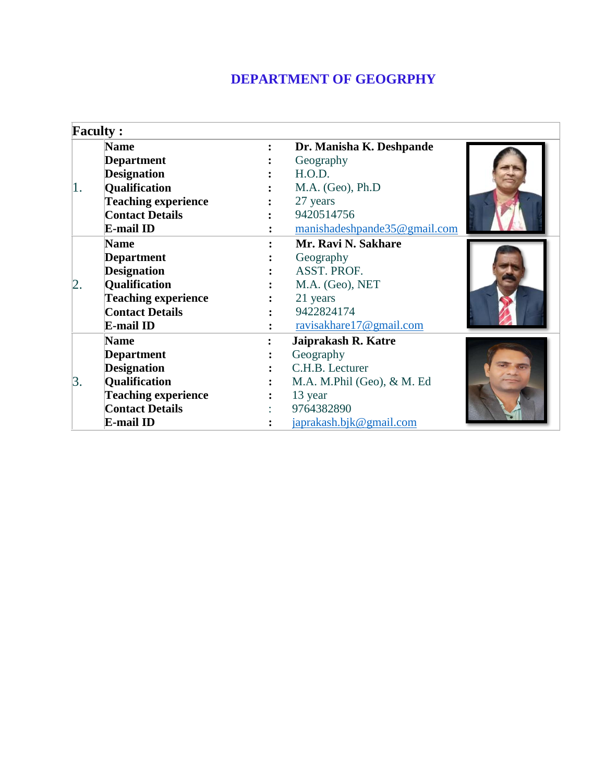## **DEPARTMENT OF GEOGRPHY**

|    | <b>Faculty:</b>            |                |                              |  |
|----|----------------------------|----------------|------------------------------|--|
|    | <b>Name</b>                | $\ddot{\cdot}$ | Dr. Manisha K. Deshpande     |  |
|    | <b>Department</b>          |                | Geography                    |  |
|    | <b>Designation</b>         |                | H.O.D.                       |  |
| 1. | Qualification              |                | M.A. (Geo), Ph.D             |  |
|    | <b>Teaching experience</b> |                | 27 years                     |  |
|    | <b>Contact Details</b>     |                | 9420514756                   |  |
|    | E-mail ID                  |                | manishadeshpande35@gmail.com |  |
|    | <b>Name</b>                |                | Mr. Ravi N. Sakhare          |  |
|    | <b>Department</b>          |                | Geography                    |  |
|    | <b>Designation</b>         |                | ASST. PROF.                  |  |
| 2. | <b>Qualification</b>       |                | M.A. (Geo), NET              |  |
|    | <b>Teaching experience</b> |                | 21 years                     |  |
|    | <b>Contact Details</b>     |                | 9422824174                   |  |
|    | E-mail ID                  |                | ravisakhare17@gmail.com      |  |
|    | <b>Name</b>                |                | Jaiprakash R. Katre          |  |
|    | <b>Department</b>          |                | Geography                    |  |
|    | <b>Designation</b>         |                | C.H.B. Lecturer              |  |
| 3. | Qualification              |                | M.A. M.Phil (Geo), & M. Ed   |  |
|    | <b>Teaching experience</b> |                | 13 year                      |  |
|    | <b>Contact Details</b>     |                | 9764382890                   |  |
|    | E-mail ID                  |                | japrakash.bjk@gmail.com      |  |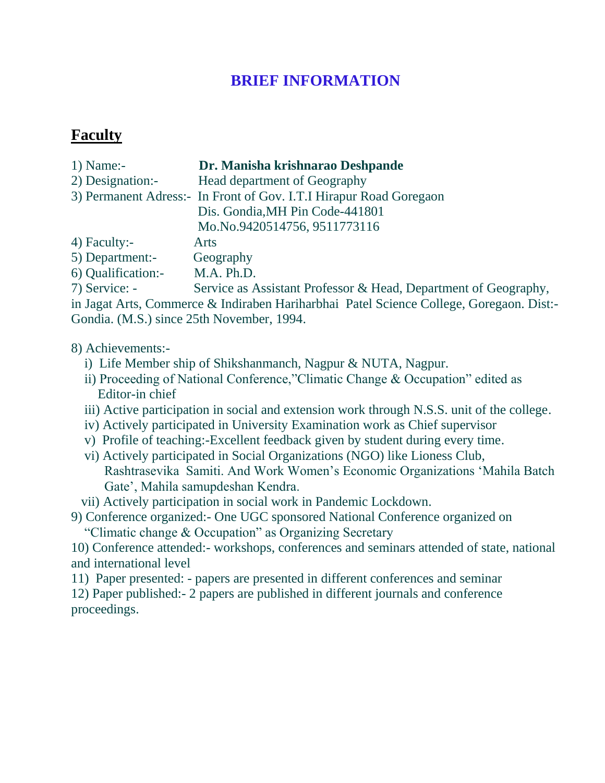## **BRIEF INFORMATION**

### **Faculty**

| $1)$ Name:-        | Dr. Manisha krishnarao Deshpande                                   |
|--------------------|--------------------------------------------------------------------|
| 2) Designation:-   | Head department of Geography                                       |
|                    | 3) Permanent Adress:- In Front of Gov. I.T.I Hirapur Road Goregaon |
|                    | Dis. Gondia, MH Pin Code-441801                                    |
|                    | Mo.No.9420514756, 9511773116                                       |
| 4) Faculty:-       | <b>Arts</b>                                                        |
| 5) Department:-    | Geography                                                          |
| 6) Qualification:- | M.A. Ph.D.                                                         |
|                    |                                                                    |

7) Service: - Service as Assistant Professor & Head, Department of Geography, in Jagat Arts, Commerce & Indiraben Hariharbhai Patel Science College, Goregaon. Dist:- Gondia. (M.S.) since 25th November, 1994.

#### 8) Achievements:-

- i) Life Member ship of Shikshanmanch, Nagpur & NUTA, Nagpur.
- ii) Proceeding of National Conference,"Climatic Change & Occupation" edited as Editor-in chief
- iii) Active participation in social and extension work through N.S.S. unit of the college.
- iv) Actively participated in University Examination work as Chief supervisor
- v) Profile of teaching:-Excellent feedback given by student during every time.
- vi) Actively participated in Social Organizations (NGO) like Lioness Club, Rashtrasevika Samiti. And Work Women's Economic Organizations 'Mahila Batch Gate', Mahila samupdeshan Kendra.
- vii) Actively participation in social work in Pandemic Lockdown.

9) Conference organized:- One UGC sponsored National Conference organized on

"Climatic change & Occupation" as Organizing Secretary

10) Conference attended:- workshops, conferences and seminars attended of state, national and international level

11) Paper presented: - papers are presented in different conferences and seminar

12) Paper published:- 2 papers are published in different journals and conference proceedings.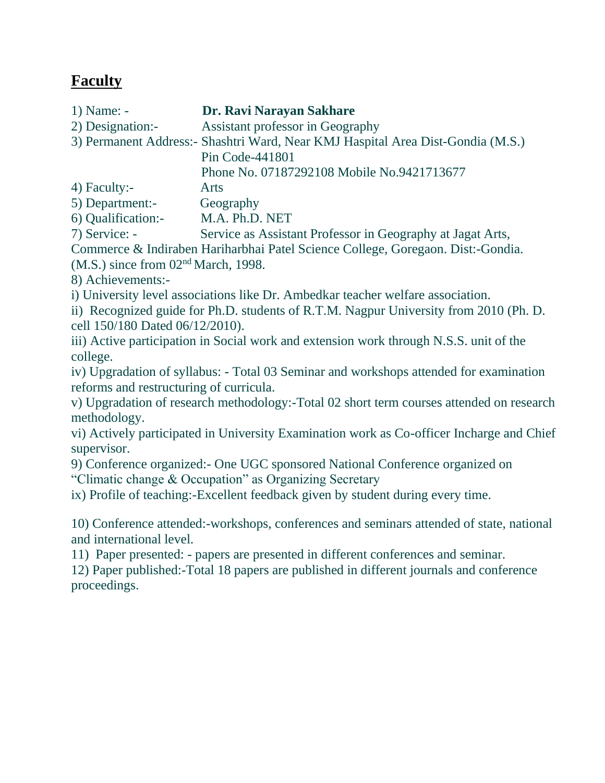# **Faculty**

1) Name: - **Dr. Ravi Narayan Sakhare**

2) Designation:- Assistant professor in Geography

3) Permanent Address:- Shashtri Ward, Near KMJ Haspital Area Dist-Gondia (M.S.)

Pin Code-441801

Phone No. 07187292108 Mobile No.9421713677

4) Faculty:- Arts

5) Department:- Geography

6) Qualification:- M.A. Ph.D. NET

7) Service: - Service as Assistant Professor in Geography at Jagat Arts,

Commerce & Indiraben Hariharbhai Patel Science College, Goregaon. Dist:-Gondia.

(M.S.) since from 02nd March, 1998.

8) Achievements:-

i) University level associations like Dr. Ambedkar teacher welfare association.

ii) Recognized guide for Ph.D. students of R.T.M. Nagpur University from 2010 (Ph. D. cell 150/180 Dated 06/12/2010).

iii) Active participation in Social work and extension work through N.S.S. unit of the college.

iv) Upgradation of syllabus: - Total 03 Seminar and workshops attended for examination reforms and restructuring of curricula.

v) Upgradation of research methodology:-Total 02 short term courses attended on research methodology.

vi) Actively participated in University Examination work as Co-officer Incharge and Chief supervisor.

9) Conference organized:- One UGC sponsored National Conference organized on "Climatic change & Occupation" as Organizing Secretary

ix) Profile of teaching:-Excellent feedback given by student during every time.

10) Conference attended:-workshops, conferences and seminars attended of state, national and international level.

11) Paper presented: - papers are presented in different conferences and seminar.

12) Paper published:-Total 18 papers are published in different journals and conference proceedings.